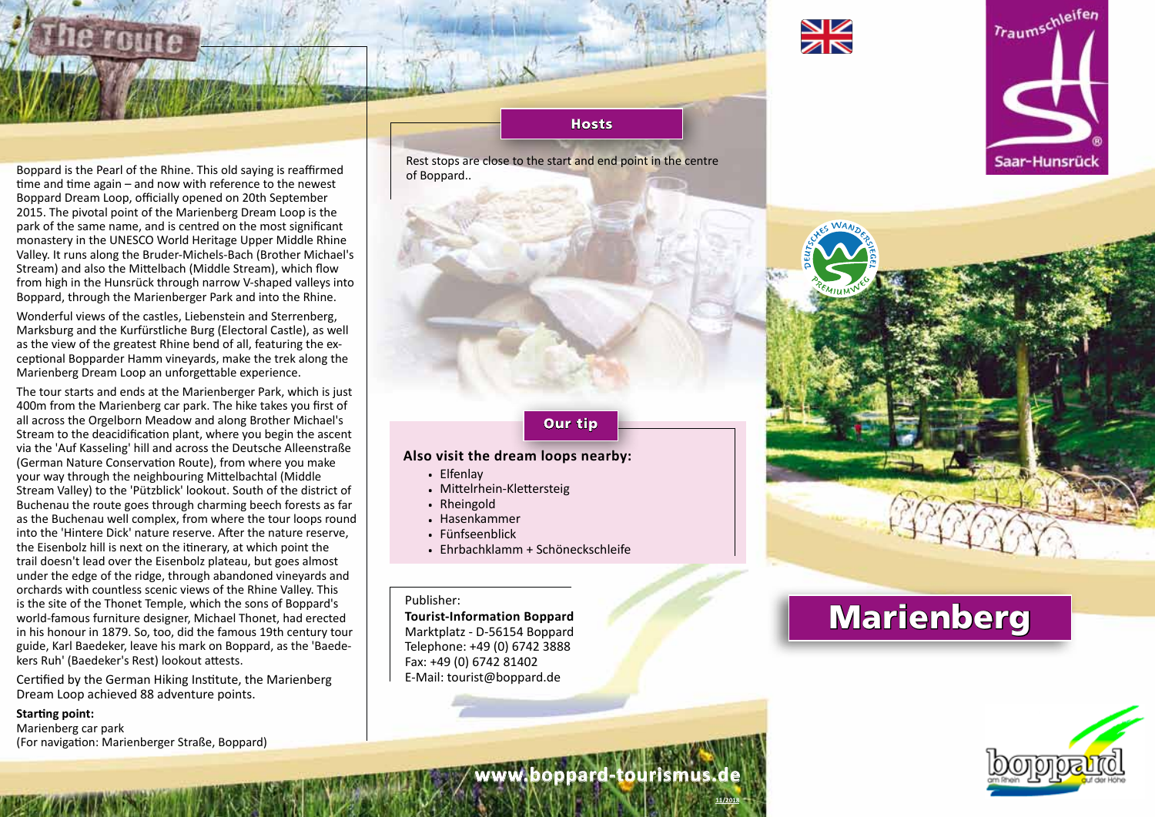



Boppard is the Pearl of the Rhine. This old saying is reaffirmed time and time again – and now with reference to the newest Boppard Dream Loop, officially opened on 20th September 2015. The pivotal point of the Marienberg Dream Loop is the park of the same name, and is centred on the most significant monastery in the UNESCO World Heritage Upper Middle Rhine Valley. It runs along the Bruder-Michels-Bach (Brother Michael's Stream) and also the Mittelbach (Middle Stream), which flow from high in the Hunsrück through narrow V-shaped valleys into Boppard, through the Marienberger Park and into the Rhine.

Wonderful views of the castles, Liebenstein and Sterrenberg, Marksburg and the Kurfürstliche Burg (Electoral Castle), as well as the view of the greatest Rhine bend of all, featuring the exceptional Bopparder Hamm vineyards, make the trek along the Marienberg Dream Loop an unforgettable experience.

The tour starts and ends at the Marienberger Park, which is just 400m from the Marienberg car park. The hike takes you first of all across the Orgelborn Meadow and along Brother Michael's Stream to the deacidification plant, where you begin the ascent via the 'Auf Kasseling' hill and across the Deutsche Alleenstraße (German Nature Conservation Route), from where you make your way through the neighbouring Mittelbachtal (Middle Stream Valley) to the 'Pützblick' lookout. South of the district of Buchenau the route goes through charming beech forests as far as the Buchenau well complex, from where the tour loops round into the 'Hintere Dick' nature reserve. After the nature reserve, the Eisenbolz hill is next on the itinerary, at which point the trail doesn't lead over the Eisenbolz plateau, but goes almost under the edge of the ridge, through abandoned vineyards and orchards with countless scenic views of the Rhine Valley. This is the site of the Thonet Temple, which the sons of Boppard's world-famous furniture designer, Michael Thonet, had erected in his honour in 1879. So, too, did the famous 19th century tour guide, Karl Baedeker, leave his mark on Boppard, as the 'Baedekers Ruh' (Baedeker's Rest) lookout attests.

Certified by the German Hiking Institute, the Marienberg Dream Loop achieved 88 adventure points.

### **Starting point:**

Marienberg car park (For navigation: Marienberger Straße, Boppard)

### **Hosts**

Rest stops are close to the start and end point in the centre of Boppard..

## Our tip

**www.boppard-tourismus.de**

**11/2018**

## **Also visit the dream loops nearby:**

- . Elfenlay
- . Mittelrhein-Klettersteig
- . Rheingold
- . Hasenkammer
- . Fünfseenblick
- . Ehrbachklamm + Schöneckschleife

### Publisher:

**Tourist-Information Boppard** Marktplatz - D-56154 Boppard Telephone: +49 (0) 6742 3888 Fax: +49 (0) 6742 81402 E-Mail: tourist@boppard.de

# Marienberg